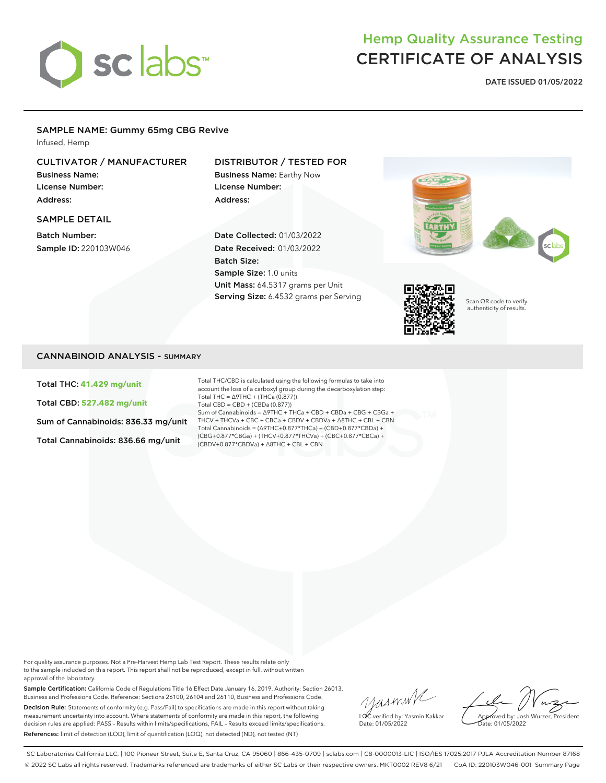

# Hemp Quality Assurance Testing CERTIFICATE OF ANALYSIS

**DATE ISSUED 01/05/2022**

### SAMPLE NAME: Gummy 65mg CBG Revive

Infused, Hemp

# CULTIVATOR / MANUFACTURER

Business Name: License Number: Address:

#### SAMPLE DETAIL

Batch Number: Sample ID: 220103W046

# DISTRIBUTOR / TESTED FOR

Business Name: Earthy Now License Number: Address:

Date Collected: 01/03/2022 Date Received: 01/03/2022 Batch Size: Sample Size: 1.0 units Unit Mass: 64.5317 grams per Unit Serving Size: 6.4532 grams per Serving





Scan QR code to verify authenticity of results.

#### CANNABINOID ANALYSIS - SUMMARY

Total THC: **41.429 mg/unit**

Total CBD: **527.482 mg/unit**

Sum of Cannabinoids: 836.33 mg/unit

Total Cannabinoids: 836.66 mg/unit

Total THC/CBD is calculated using the following formulas to take into account the loss of a carboxyl group during the decarboxylation step: Total THC = ∆9THC + (THCa (0.877)) Total CBD = CBD + (CBDa (0.877)) Sum of Cannabinoids = ∆9THC + THCa + CBD + CBDa + CBG + CBGa + THCV + THCVa + CBC + CBCa + CBDV + CBDVa + ∆8THC + CBL + CBN Total Cannabinoids = (∆9THC+0.877\*THCa) + (CBD+0.877\*CBDa) + (CBG+0.877\*CBGa) + (THCV+0.877\*THCVa) + (CBC+0.877\*CBCa) + (CBDV+0.877\*CBDVa) + ∆8THC + CBL + CBN

For quality assurance purposes. Not a Pre-Harvest Hemp Lab Test Report. These results relate only to the sample included on this report. This report shall not be reproduced, except in full, without written approval of the laboratory.

Sample Certification: California Code of Regulations Title 16 Effect Date January 16, 2019. Authority: Section 26013, Business and Professions Code. Reference: Sections 26100, 26104 and 26110, Business and Professions Code. Decision Rule: Statements of conformity (e.g. Pass/Fail) to specifications are made in this report without taking measurement uncertainty into account. Where statements of conformity are made in this report, the following decision rules are applied: PASS – Results within limits/specifications, FAIL – Results exceed limits/specifications. References: limit of detection (LOD), limit of quantification (LOQ), not detected (ND), not tested (NT)

yusmin/ LQC verified by: Yasmin Kakkar Date: 01/05/2022

Approved by: Josh Wurzer, President ate: 01/05/2022

SC Laboratories California LLC. | 100 Pioneer Street, Suite E, Santa Cruz, CA 95060 | 866-435-0709 | sclabs.com | C8-0000013-LIC | ISO/IES 17025:2017 PJLA Accreditation Number 87168 © 2022 SC Labs all rights reserved. Trademarks referenced are trademarks of either SC Labs or their respective owners. MKT0002 REV8 6/21 CoA ID: 220103W046-001 Summary Page